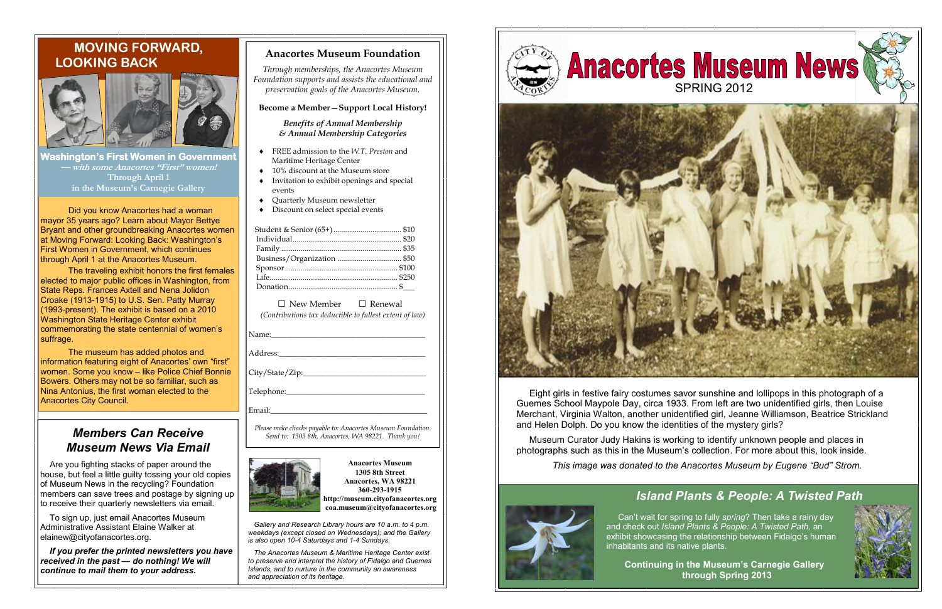### Anacortes Museum Foundation

Through memberships, the Anacortes Museum Foundation supports and assists the educational andpreservation goals of the Anacortes Museum.

#### Become a Member—Support Local History!

Benefits of Annual Membership & Annual Membership Categories

□ New Member □ Renewal

Please make checks payable to: Anacortes Museum Foundation. Send to: 1305 8th, Anacortes, WA 98221. Thank you!



(Contributions tax deductible to fullest extent of law)

Name:

Address:

 $City/State/Zip:$ 

Telephone:\_\_\_\_\_\_\_\_\_\_\_\_\_\_\_\_\_\_\_\_\_\_\_\_\_\_\_\_\_\_\_\_\_\_\_\_

Email:

- ♦ FREE admission to the W.T. Preston and Maritime Heritage Center
- ♦ 10% discount at the Museum store
- ♦ Invitation to exhibit openings and special events
- ♦ Quarterly Museum newsletter
- ♦ Discount on select special events

Anacortes Museum 1305 8th Street Anacortes, WA 98221 360-293-1915 http://museum.cityofanacortes.org

Washington's First Women in Government — with some Anacortes "First" women! Through April 1 in the Museum's Carnegie Gallery

coa.museum@cityofanacortes.org

 Gallery and Research Library hours are 10 a.m. to 4 p.m. weekdays (except closed on Wednesdays); and the Gallery is also open 10-4 Saturdays and 1-4 Sundays.

 The Anacortes Museum & Maritime Heritage Center exist to preserve and interpret the history of Fidalgo and Guemes Islands, and to nurture in the community an awareness and appreciation of its heritage.

Did you know Anacortes had a woman mayor 35 years ago? Learn about Mayor Bettye Bryant and other groundbreaking Anacortes women at Moving Forward: Looking Back: Washington's First Women in Government, which continues through April 1 at the Anacortes Museum.

 The traveling exhibit honors the first females elected to major public offices in Washington, fromState Reps. Frances Axtell and Nena Jolidon Croake (1913-1915) to U.S. Sen. Patty Murray (1993-present). The exhibit is based on a 2010 Washington State Heritage Center exhibit commemorating the state centennial of women's suffrage.

 The museum has added photos and information featuring eight of Anacortes' own "first" women. Some you know – like Police Chief Bonnie Bowers. Others may not be so familiar, such as Nina Antonius, the first woman elected to the Anacortes City Council.

# MOVING FORWARD, LOOKING BACK



## Members Can Receive Museum News Via Email

 Are you fighting stacks of paper around the house, but feel a little guilty tossing your old copies of Museum News in the recycling? Foundation members can save trees and postage by signing up to receive their quarterly newsletters via email.

 To sign up, just email Anacortes Museum Administrative Assistant Elaine Walker at elainew@cityofanacortes.org.

 If you prefer the printed newsletters you have received in the past — do nothing! We will continue to mail them to your address.





# Island Plants & People: A Twisted Path



Continuing in the Museum's Carnegie Gallery through Spring 2013



 Can't wait for spring to fully spring? Then take a rainy day and check out Island Plants & People: A Twisted Path, an exhibit showcasing the relationship between Fidalgo's human inhabitants and its native plants.

 Eight girls in festive fairy costumes savor sunshine and lollipops in this photograph of a Guemes School Maypole Day, circa 1933. From left are two unidentified girls, then Louise Merchant, Virginia Walton, another unidentified girl, Jeanne Williamson, Beatrice Strickland and Helen Dolph. Do you know the identities of the mystery girls?

 Museum Curator Judy Hakins is working to identify unknown people and places in photographs such as this in the Museum's collection. For more about this, look inside.

This image was donated to the Anacortes Museum by Eugene "Bud" Strom.